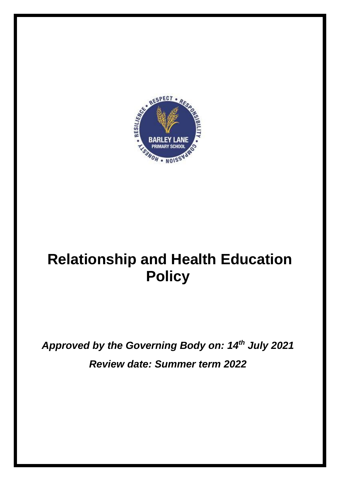

# **Relationship and Health Education Policy**

*Approved by the Governing Body on: 14th July 2021 Review date: Summer term 2022*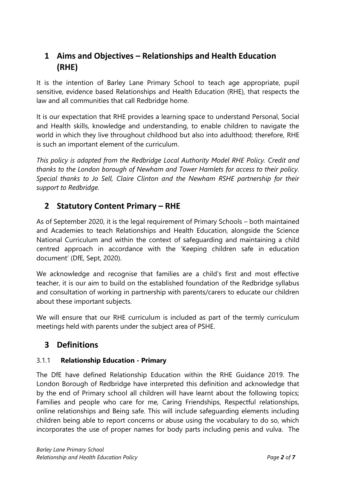## **1 Aims and Objectives – Relationships and Health Education (RHE)**

It is the intention of Barley Lane Primary School to teach age appropriate, pupil sensitive, evidence based Relationships and Health Education (RHE), that respects the law and all communities that call Redbridge home.

It is our expectation that RHE provides a learning space to understand Personal, Social and Health skills, knowledge and understanding, to enable children to navigate the world in which they live throughout childhood but also into adulthood; therefore, RHE is such an important element of the curriculum.

*This policy is adapted from the Redbridge Local Authority Model RHE Policy. Credit and thanks to the London borough of Newham and Tower Hamlets for access to their policy. Special thanks to Jo Sell, Claire Clinton and the Newham RSHE partnership for their support to Redbridge.* 

## **2 Statutory Content Primary – RHE**

As of September 2020, it is the legal requirement of Primary Schools – both maintained and Academies to teach Relationships and Health Education, alongside the Science National Curriculum and within the context of safeguarding and maintaining a child centred approach in accordance with the 'Keeping children safe in education document' (DfE, Sept, 2020).

We acknowledge and recognise that families are a child's first and most effective teacher, it is our aim to build on the established foundation of the Redbridge syllabus and consultation of working in partnership with parents/carers to educate our children about these important subjects.

We will ensure that our RHE curriculum is included as part of the termly curriculum meetings held with parents under the subject area of PSHE.

## **3 Definitions**

#### 3.1.1 **Relationship Education - Primary**

The DfE have defined Relationship Education within the RHE Guidance 2019. The London Borough of Redbridge have interpreted this definition and acknowledge that by the end of Primary school all children will have learnt about the following topics; Families and people who care for me, Caring Friendships, Respectful relationships, online relationships and Being safe. This will include safeguarding elements including children being able to report concerns or abuse using the vocabulary to do so, which incorporates the use of proper names for body parts including penis and vulva. The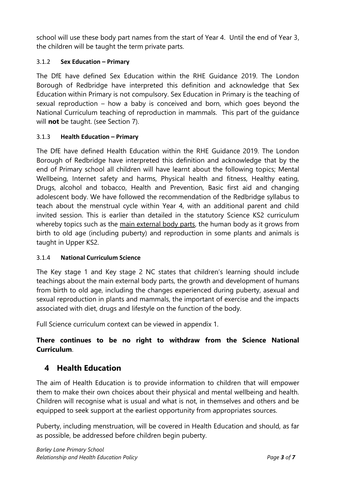school will use these body part names from the start of Year 4. Until the end of Year 3, the children will be taught the term private parts.

#### 3.1.2 **Sex Education – Primary**

The DfE have defined Sex Education within the RHE Guidance 2019. The London Borough of Redbridge have interpreted this definition and acknowledge that Sex Education within Primary is not compulsory. Sex Education in Primary is the teaching of sexual reproduction – how a baby is conceived and born, which goes beyond the National Curriculum teaching of reproduction in mammals. This part of the guidance will **not** be taught. (see Section 7).

#### 3.1.3 **Health Education – Primary**

The DfE have defined Health Education within the RHE Guidance 2019. The London Borough of Redbridge have interpreted this definition and acknowledge that by the end of Primary school all children will have learnt about the following topics; Mental Wellbeing, Internet safety and harms, Physical health and fitness, Healthy eating, Drugs, alcohol and tobacco, Health and Prevention, Basic first aid and changing adolescent body. We have followed the recommendation of the Redbridge syllabus to teach about the menstrual cycle within Year 4, with an additional parent and child invited session. This is earlier than detailed in the statutory Science KS2 curriculum whereby topics such as the main external body parts, the human body as it grows from birth to old age (including puberty) and reproduction in some plants and animals is taught in Upper KS2.

#### 3.1.4 **National Curriculum Science**

The Key stage 1 and Key stage 2 NC states that children's learning should include teachings about the main external body parts, the growth and development of humans from birth to old age, including the changes experienced during puberty, asexual and sexual reproduction in plants and mammals, the important of exercise and the impacts associated with diet, drugs and lifestyle on the function of the body.

Full Science curriculum context can be viewed in appendix 1.

### **There continues to be no right to withdraw from the Science National Curriculum**.

## **4 Health Education**

The aim of Health Education is to provide information to children that will empower them to make their own choices about their physical and mental wellbeing and health. Children will recognise what is usual and what is not, in themselves and others and be equipped to seek support at the earliest opportunity from appropriates sources.

Puberty, including menstruation, will be covered in Health Education and should, as far as possible, be addressed before children begin puberty.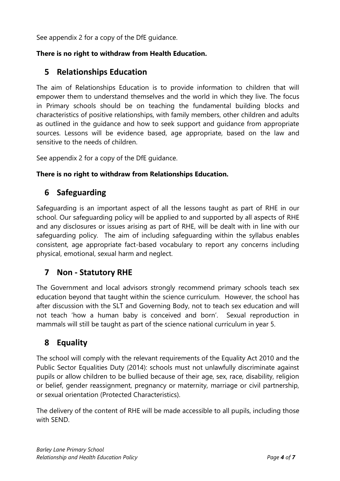See appendix 2 for a copy of the DfE guidance.

#### **There is no right to withdraw from Health Education.**

## **5 Relationships Education**

The aim of Relationships Education is to provide information to children that will empower them to understand themselves and the world in which they live. The focus in Primary schools should be on teaching the fundamental building blocks and characteristics of positive relationships, with family members, other children and adults as outlined in the guidance and how to seek support and guidance from appropriate sources. Lessons will be evidence based, age appropriate, based on the law and sensitive to the needs of children.

See appendix 2 for a copy of the DfE guidance.

#### **There is no right to withdraw from Relationships Education.**

## **6 Safeguarding**

Safeguarding is an important aspect of all the lessons taught as part of RHE in our school. Our safeguarding policy will be applied to and supported by all aspects of RHE and any disclosures or issues arising as part of RHE, will be dealt with in line with our safeguarding policy. The aim of including safeguarding within the syllabus enables consistent, age appropriate fact-based vocabulary to report any concerns including physical, emotional, sexual harm and neglect.

## **7 Non - Statutory RHE**

The Government and local advisors strongly recommend primary schools teach sex education beyond that taught within the science curriculum. However, the school has after discussion with the SLT and Governing Body, not to teach sex education and will not teach 'how a human baby is conceived and born'. Sexual reproduction in mammals will still be taught as part of the science national curriculum in year 5.

## **8 Equality**

The school will comply with the relevant requirements of the Equality Act 2010 and the Public Sector Equalities Duty (2014): schools must not unlawfully discriminate against pupils or allow children to be bullied because of their age, sex, race, disability, religion or belief, gender reassignment, pregnancy or maternity, marriage or civil partnership, or sexual orientation (Protected Characteristics).

The delivery of the content of RHE will be made accessible to all pupils, including those with SEND.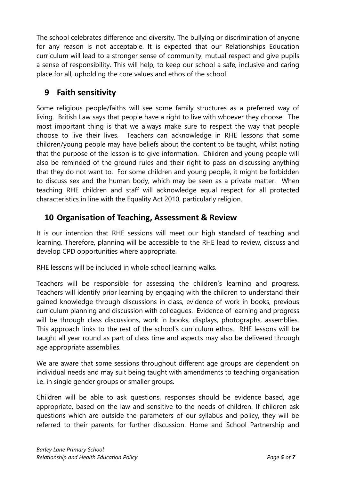The school celebrates difference and diversity. The bullying or discrimination of anyone for any reason is not acceptable. It is expected that our Relationships Education curriculum will lead to a stronger sense of community, mutual respect and give pupils a sense of responsibility. This will help, to keep our school a safe, inclusive and caring place for all, upholding the core values and ethos of the school.

## **9 Faith sensitivity**

Some religious people/faiths will see some family structures as a preferred way of living. British Law says that people have a right to live with whoever they choose. The most important thing is that we always make sure to respect the way that people choose to live their lives. Teachers can acknowledge in RHE lessons that some children/young people may have beliefs about the content to be taught, whilst noting that the purpose of the lesson is to give information. Children and young people will also be reminded of the ground rules and their right to pass on discussing anything that they do not want to. For some children and young people, it might be forbidden to discuss sex and the human body, which may be seen as a private matter. When teaching RHE children and staff will acknowledge equal respect for all protected characteristics in line with the Equality Act 2010, particularly religion.

## **10 Organisation of Teaching, Assessment & Review**

It is our intention that RHE sessions will meet our high standard of teaching and learning. Therefore, planning will be accessible to the RHE lead to review, discuss and develop CPD opportunities where appropriate.

RHE lessons will be included in whole school learning walks.

Teachers will be responsible for assessing the children's learning and progress. Teachers will identify prior learning by engaging with the children to understand their gained knowledge through discussions in class, evidence of work in books, previous curriculum planning and discussion with colleagues. Evidence of learning and progress will be through class discussions, work in books, displays, photographs, assemblies. This approach links to the rest of the school's curriculum ethos. RHE lessons will be taught all year round as part of class time and aspects may also be delivered through age appropriate assemblies.

We are aware that some sessions throughout different age groups are dependent on individual needs and may suit being taught with amendments to teaching organisation i.e. in single gender groups or smaller groups.

Children will be able to ask questions, responses should be evidence based, age appropriate, based on the law and sensitive to the needs of children. If children ask questions which are outside the parameters of our syllabus and policy, they will be referred to their parents for further discussion. Home and School Partnership and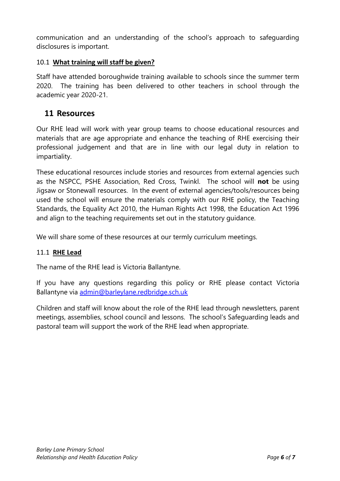communication and an understanding of the school's approach to safeguarding disclosures is important.

#### 10.1 **What training will staff be given?**

Staff have attended boroughwide training available to schools since the summer term 2020. The training has been delivered to other teachers in school through the academic year 2020-21.

#### **11 Resources**

Our RHE lead will work with year group teams to choose educational resources and materials that are age appropriate and enhance the teaching of RHE exercising their professional judgement and that are in line with our legal duty in relation to impartiality.

These educational resources include stories and resources from external agencies such as the NSPCC, PSHE Association, Red Cross, Twinkl. The school will **not** be using Jigsaw or Stonewall resources. In the event of external agencies/tools/resources being used the school will ensure the materials comply with our RHE policy, the Teaching Standards, the Equality Act 2010, the Human Rights Act 1998, the Education Act 1996 and align to the teaching requirements set out in the statutory guidance.

We will share some of these resources at our termly curriculum meetings.

#### 11.1 **RHE Lead**

The name of the RHE lead is Victoria Ballantyne.

If you have any questions regarding this policy or RHE please contact Victoria Ballantyne via [admin@barleylane.redbridge.sch.uk](mailto:admin@barleylane.redbridge.sch.uk)

Children and staff will know about the role of the RHE lead through newsletters, parent meetings, assemblies, school council and lessons. The school's Safeguarding leads and pastoral team will support the work of the RHE lead when appropriate.